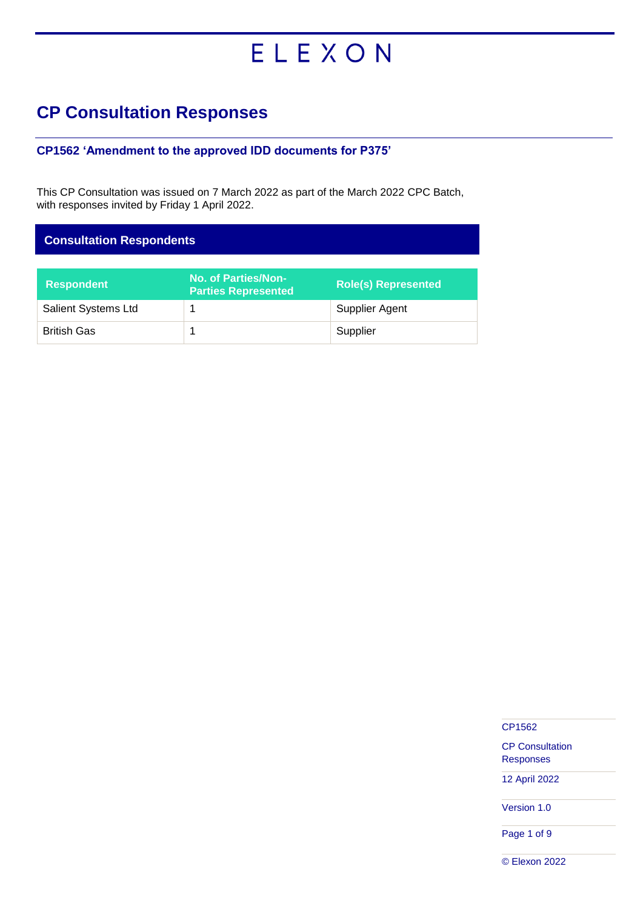# ELEXON

# **CP Consultation Responses**

### **CP1562 'Amendment to the approved IDD documents for P375'**

This CP Consultation was issued on 7 March 2022 as part of the March 2022 CPC Batch, with responses invited by Friday 1 April 2022.

| <b>Consultation Respondents</b> |                                                   |                            |  |
|---------------------------------|---------------------------------------------------|----------------------------|--|
|                                 |                                                   |                            |  |
| <b>Respondent</b>               | No. of Parties/Non-<br><b>Parties Represented</b> | <b>Role(s) Represented</b> |  |
| <b>Salient Systems Ltd</b>      |                                                   | Supplier Agent             |  |
| <b>British Gas</b>              |                                                   | Supplier                   |  |

CP1562

CP Consultation Responses

12 April 2022

Version 1.0

Page 1 of 9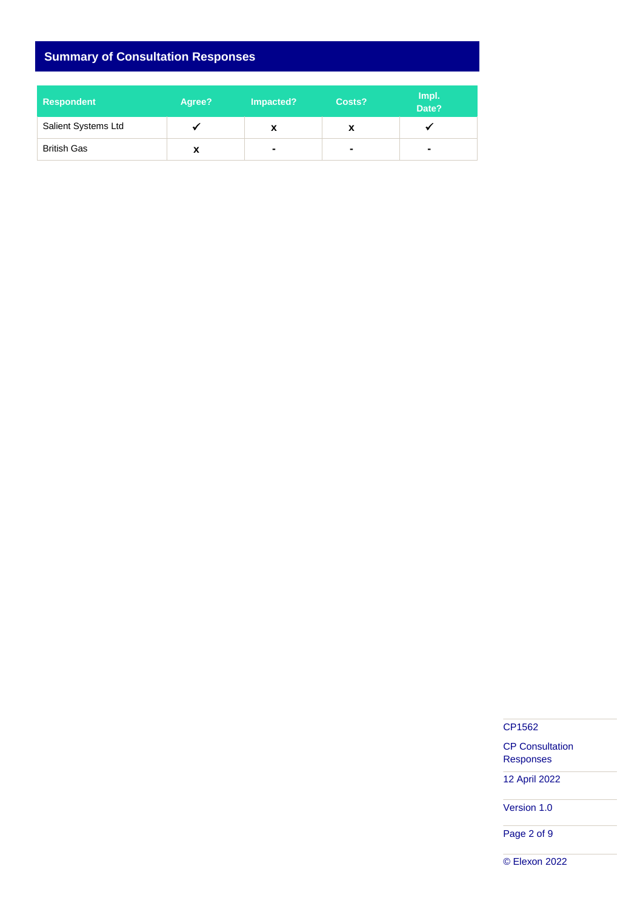# **Summary of Consultation Responses**

| <b>Respondent</b>          | Agree? | Impacted?      | Costs?         | Impl.<br>Date? |
|----------------------------|--------|----------------|----------------|----------------|
| <b>Salient Systems Ltd</b> |        | X              | X              |                |
| <b>British Gas</b>         | A      | $\blacksquare$ | $\blacksquare$ | $\blacksquare$ |

CP1562

CP Consultation Responses

12 April 2022

Version 1.0

Page 2 of 9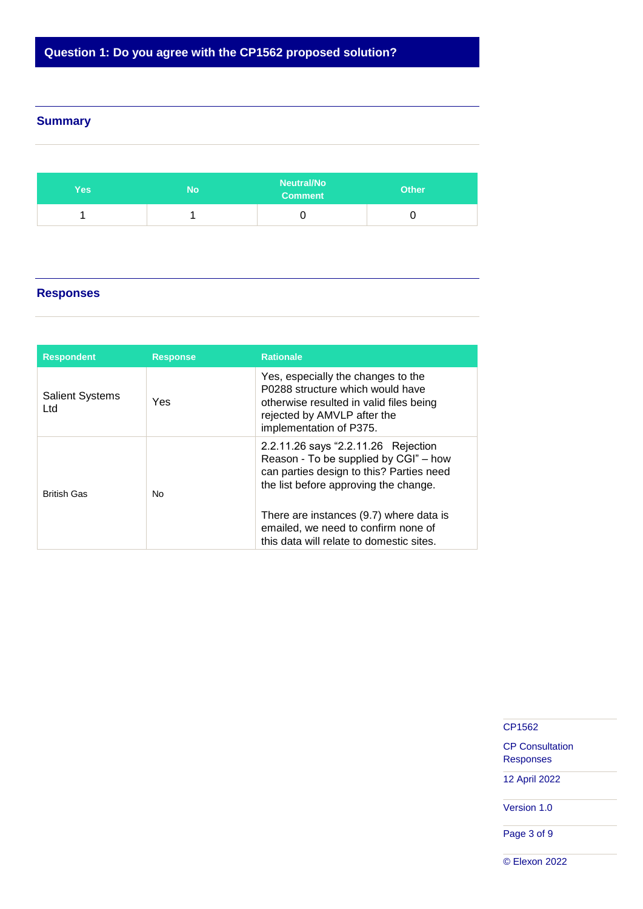# **Question 1: Do you agree with the CP1562 proposed solution?**

#### **Summary**

| Yes: | No | <b>Neutral/No</b><br><b>Comment</b> | <b>Other</b> |
|------|----|-------------------------------------|--------------|
|      |    |                                     |              |

## **Responses**

| <b>Respondent</b>             | <b>Response</b> | <b>Rationale</b>                                                                                                                                                                                                                                                                                |
|-------------------------------|-----------------|-------------------------------------------------------------------------------------------------------------------------------------------------------------------------------------------------------------------------------------------------------------------------------------------------|
| <b>Salient Systems</b><br>Ltd | Yes             | Yes, especially the changes to the<br>P0288 structure which would have<br>otherwise resulted in valid files being<br>rejected by AMVLP after the<br>implementation of P375.                                                                                                                     |
| <b>British Gas</b>            | No              | 2.2.11.26 says "2.2.11.26 Rejection<br>Reason - To be supplied by CGI" - how<br>can parties design to this? Parties need<br>the list before approving the change.<br>There are instances (9.7) where data is<br>emailed, we need to confirm none of<br>this data will relate to domestic sites. |

CP1562

CP Consultation Responses

12 April 2022

Version 1.0

Page 3 of 9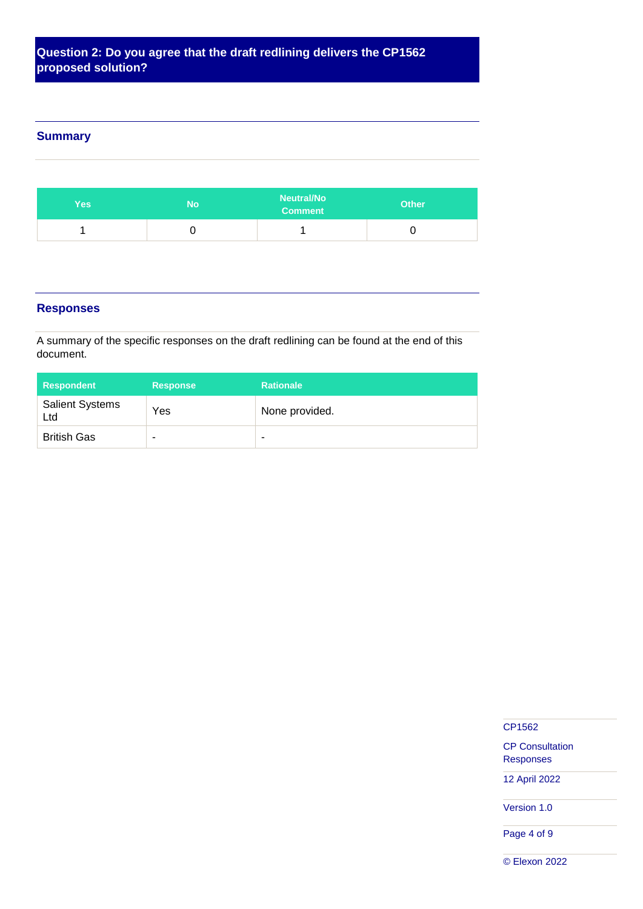## **Question 2: Do you agree that the draft redlining delivers the CP1562 proposed solution?**

#### **Summary**

| <b>Yes</b> | No | <b>Neutral/No</b><br><b>Comment</b> | <b>Other</b> |
|------------|----|-------------------------------------|--------------|
|            | ◡  |                                     |              |

#### **Responses**

A summary of the specific responses on the draft redlining can be found at the end of this document.

| <b>Respondent</b>             | <b>Response</b> | <b>Rationale</b> |
|-------------------------------|-----------------|------------------|
| <b>Salient Systems</b><br>Ltd | Yes             | None provided.   |
| <b>British Gas</b>            | ٠               | ۰                |

CP1562

CP Consultation Responses

12 April 2022

Version 1.0

Page 4 of 9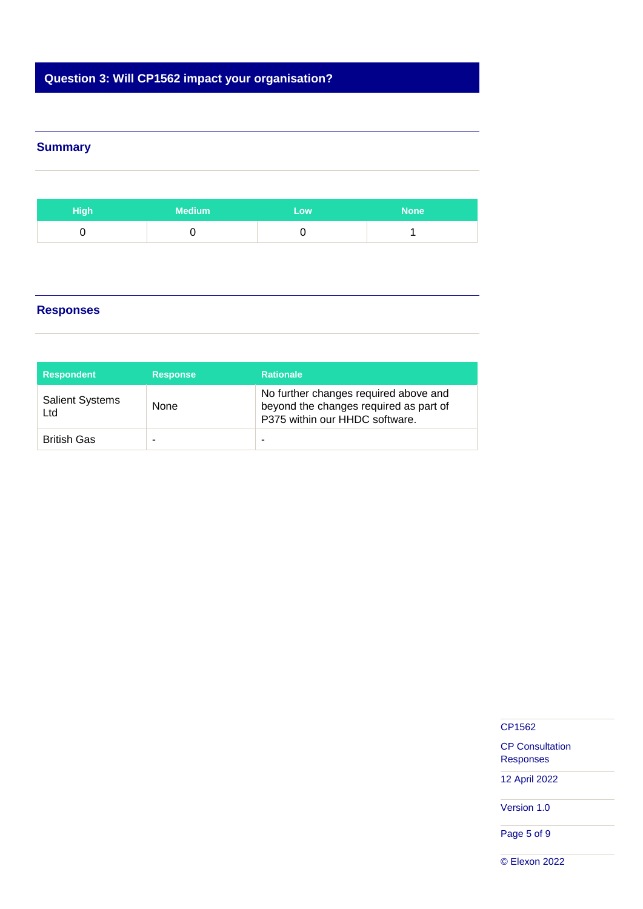# **Question 3: Will CP1562 impact your organisation?**

### **Summary**

| High | <b>Medium</b> | Low | <b>None</b> |
|------|---------------|-----|-------------|
|      |               |     |             |

#### **Responses**

| <b>Respondent</b>             | <b>Response</b> | <b>Rationale</b>                                                                                                  |
|-------------------------------|-----------------|-------------------------------------------------------------------------------------------------------------------|
| <b>Salient Systems</b><br>Ltd | None            | No further changes required above and<br>beyond the changes required as part of<br>P375 within our HHDC software. |
| <b>British Gas</b>            |                 | ۰                                                                                                                 |

#### CP1562

CP Consultation Responses

12 April 2022

Version 1.0

Page 5 of 9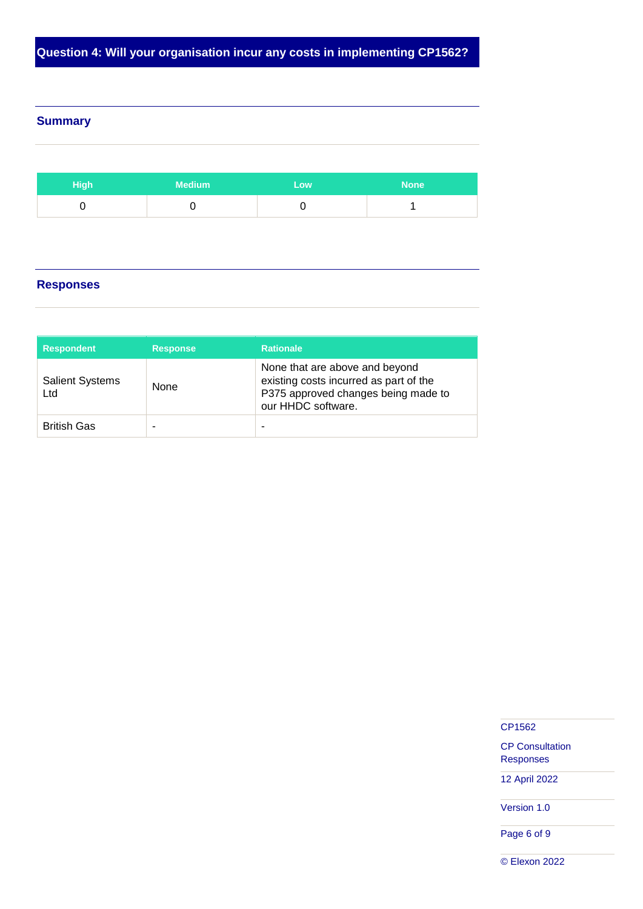**Question 4: Will your organisation incur any costs in implementing CP1562?**

#### **Summary**

| High <sub>i</sub> | <b>Medium</b> | Low | <b>None</b> |
|-------------------|---------------|-----|-------------|
|                   |               |     |             |

#### **Responses**

| <b>Respondent</b>             | <b>Response</b> | <b>Rationale</b>                                                                                                                      |
|-------------------------------|-----------------|---------------------------------------------------------------------------------------------------------------------------------------|
| <b>Salient Systems</b><br>Ltd | None            | None that are above and beyond<br>existing costs incurred as part of the<br>P375 approved changes being made to<br>our HHDC software. |
| <b>British Gas</b>            | -               | ۰                                                                                                                                     |

CP1562

CP Consultation Responses

12 April 2022

Version 1.0

Page 6 of 9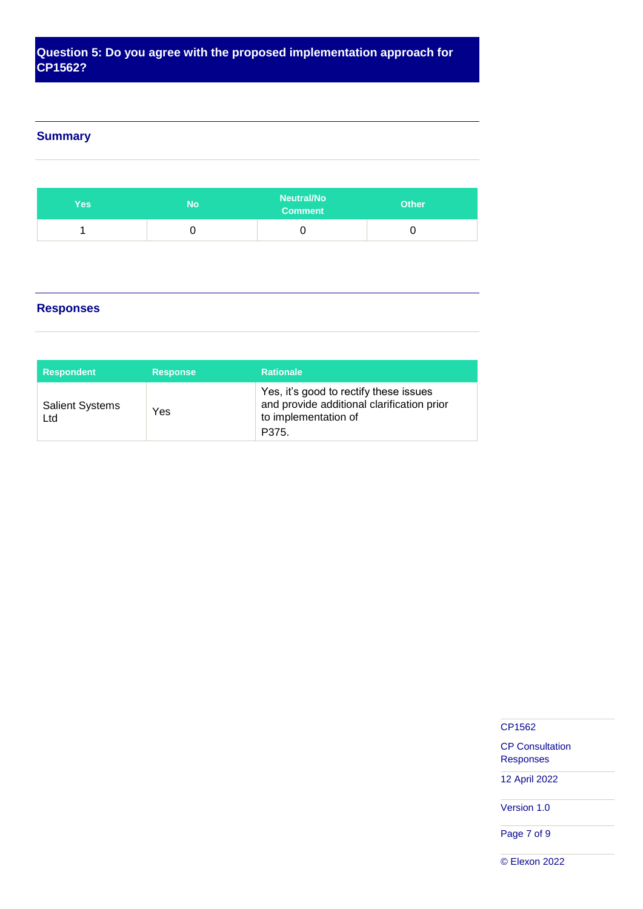# **Question 5: Do you agree with the proposed implementation approach for CP1562?**

#### **Summary**

| <b>Yes</b> | No | <b>Neutral/No</b><br><b>Comment</b> | <b>Other</b> |
|------------|----|-------------------------------------|--------------|
|            | ∼  |                                     |              |

#### **Responses**

| <b>Respondent</b>             | <b>Response</b> | <b>Rationale</b>                                                                                                      |
|-------------------------------|-----------------|-----------------------------------------------------------------------------------------------------------------------|
| <b>Salient Systems</b><br>Ltd | Yes             | Yes, it's good to rectify these issues<br>and provide additional clarification prior<br>to implementation of<br>P375. |

CP1562

CP Consultation Responses

12 April 2022

Version 1.0

Page 7 of 9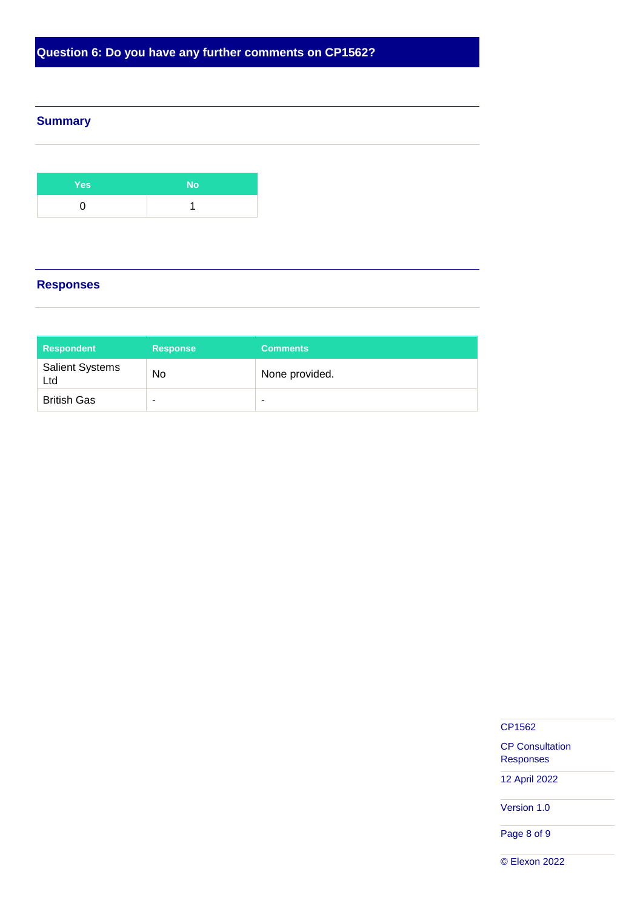**Question 6: Do you have any further comments on CP1562?**

#### **Summary**

| <b>Yes</b> | No |
|------------|----|
|            |    |

# **Responses**

| <b>Respondent</b>             | <b>Response</b> | <b>Comments</b> |
|-------------------------------|-----------------|-----------------|
| <b>Salient Systems</b><br>Ltd | No              | None provided.  |
| <b>British Gas</b>            | -               | -               |

CP1562

CP Consultation Responses

12 April 2022

Version 1.0

Page 8 of 9